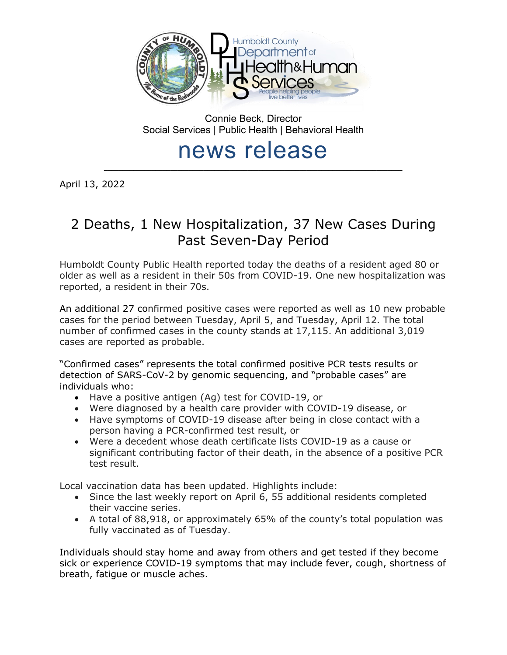

Connie Beck, Director Social Services | Public Health | Behavioral Health

# news release  $\mathcal{L}_\text{max}$

April 13, 2022

# 2 Deaths, 1 New Hospitalization, 37 New Cases During Past Seven-Day Period

Humboldt County Public Health reported today the deaths of a resident aged 80 or older as well as a resident in their 50s from COVID-19. One new hospitalization was reported, a resident in their 70s.

An additional 27 confirmed positive cases were reported as well as 10 new probable cases for the period between Tuesday, April 5, and Tuesday, April 12. The total number of confirmed cases in the county stands at 17,115. An additional 3,019 cases are reported as probable.

"Confirmed cases" represents the total confirmed positive PCR tests results or detection of SARS-CoV-2 by genomic sequencing, and "probable cases" are individuals who:

- Have a positive antigen (Ag) test for COVID-19, or
- Were diagnosed by a health care provider with COVID-19 disease, or
- Have symptoms of COVID-19 disease after being in close contact with a person having a PCR-confirmed test result, or
- Were a decedent whose death certificate lists COVID-19 as a cause or significant contributing factor of their death, in the absence of a positive PCR test result.

Local vaccination data has been updated. Highlights include:

- Since the last weekly report on April 6, 55 additional residents completed their vaccine series.
- A total of 88,918, or approximately 65% of the county's total population was fully vaccinated as of Tuesday.

Individuals should stay home and away from others and get tested if they become sick or experience COVID-19 symptoms that may include fever, cough, shortness of breath, fatigue or muscle aches.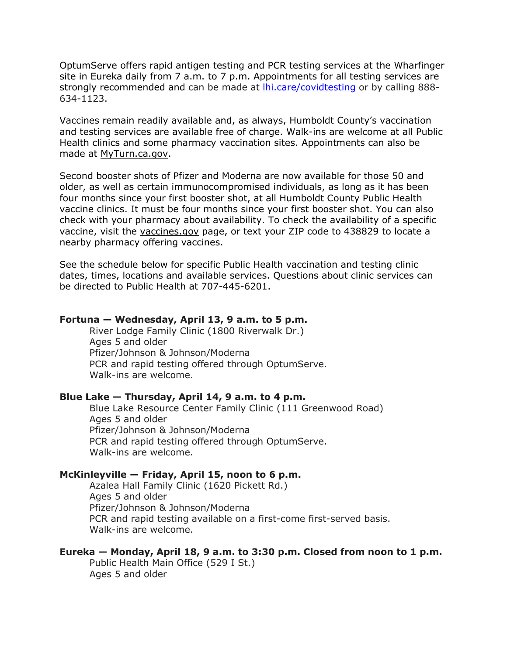OptumServe offers rapid antigen testing and PCR testing services at the Wharfinger site in Eureka daily from 7 a.m. to 7 p.m. Appointments for all testing services are strongly recommended and can be made at *lhi.care/covidtesting* or by calling 888-634-1123.

Vaccines remain readily available and, as always, Humboldt County's vaccination and testing services are available free of charge. Walk-ins are welcome at all Public Health clinics and some pharmacy vaccination sites. Appointments can also be made at [MyTurn.ca.gov.](https://myturn.ca.gov/)

Second booster shots of Pfizer and Moderna are now available for those 50 and older, as well as certain immunocompromised individuals, as long as it has been four months since your first booster shot, at all Humboldt County Public Health vaccine clinics. It must be four months since your first booster shot. You can also check with your pharmacy about availability. To check the availability of a specific vaccine, visit the [vaccines.gov](https://www.vaccines.gov/search/) page, or text your ZIP code to 438829 to locate a nearby pharmacy offering vaccines.

See the schedule below for specific Public Health vaccination and testing clinic dates, times, locations and available services. Questions about clinic services can be directed to Public Health at 707-445-6201.

#### **Fortuna — Wednesday, April 13, 9 a.m. to 5 p.m.**

River Lodge Family Clinic (1800 Riverwalk Dr.) Ages 5 and older Pfizer/Johnson & Johnson/Moderna PCR and rapid testing offered through OptumServe. Walk-ins are welcome.

#### **Blue Lake — Thursday, April 14, 9 a.m. to 4 p.m.**

Blue Lake Resource Center Family Clinic (111 Greenwood Road) Ages 5 and older Pfizer/Johnson & Johnson/Moderna PCR and rapid testing offered through OptumServe. Walk-ins are welcome.

#### **McKinleyville — Friday, April 15, noon to 6 p.m.**

Azalea Hall Family Clinic (1620 Pickett Rd.) Ages 5 and older Pfizer/Johnson & Johnson/Moderna PCR and rapid testing available on a first-come first-served basis. Walk-ins are welcome.

#### **Eureka — Monday, April 18, 9 a.m. to 3:30 p.m. Closed from noon to 1 p.m.**

Public Health Main Office (529 I St.) Ages 5 and older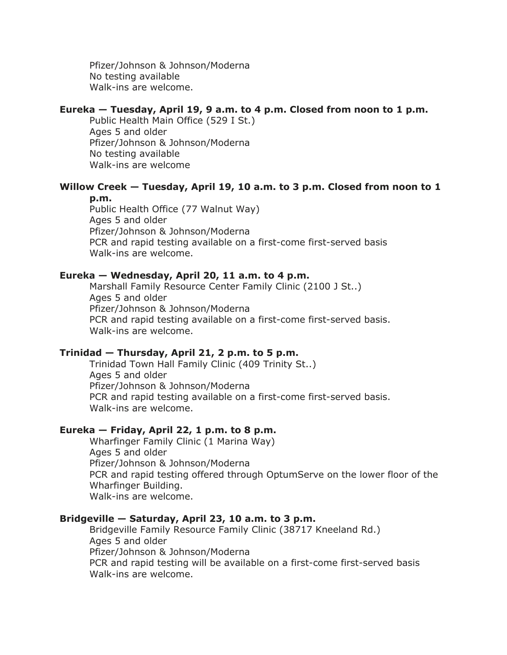Pfizer/Johnson & Johnson/Moderna No testing available Walk-ins are welcome.

#### **Eureka — Tuesday, April 19, 9 a.m. to 4 p.m. Closed from noon to 1 p.m.**

Public Health Main Office (529 I St.) Ages 5 and older Pfizer/Johnson & Johnson/Moderna No testing available Walk-ins are welcome

# **Willow Creek — Tuesday, April 19, 10 a.m. to 3 p.m. Closed from noon to 1**

**p.m.**

Public Health Office (77 Walnut Way) Ages 5 and older Pfizer/Johnson & Johnson/Moderna PCR and rapid testing available on a first-come first-served basis Walk-ins are welcome.

### **Eureka — Wednesday, April 20, 11 a.m. to 4 p.m.**

Marshall Family Resource Center Family Clinic (2100 J St..) Ages 5 and older Pfizer/Johnson & Johnson/Moderna PCR and rapid testing available on a first-come first-served basis. Walk-ins are welcome.

# **Trinidad — Thursday, April 21, 2 p.m. to 5 p.m.**

Trinidad Town Hall Family Clinic (409 Trinity St..) Ages 5 and older Pfizer/Johnson & Johnson/Moderna PCR and rapid testing available on a first-come first-served basis. Walk-ins are welcome.

### **Eureka — Friday, April 22, 1 p.m. to 8 p.m.**

Wharfinger Family Clinic (1 Marina Way) Ages 5 and older Pfizer/Johnson & Johnson/Moderna PCR and rapid testing offered through OptumServe on the lower floor of the Wharfinger Building. Walk-ins are welcome.

## **Bridgeville — Saturday, April 23, 10 a.m. to 3 p.m.**

Bridgeville Family Resource Family Clinic (38717 Kneeland Rd.) Ages 5 and older Pfizer/Johnson & Johnson/Moderna PCR and rapid testing will be available on a first-come first-served basis Walk-ins are welcome.